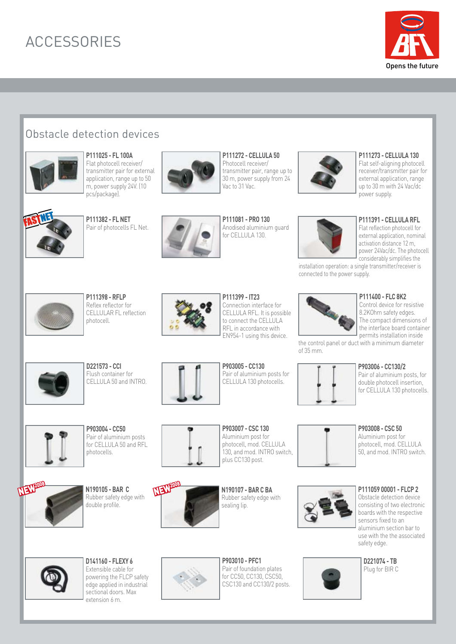# **ACCESSORIES**



## Obstacle detection devices



**P111025 - FL 100A** Flat photocell receiver/ transmitter pair for external application, range up to 50 m, power supply 24V. (10 pcs/package).



**P111382 - FL NET** PITT38Z - FL NET<br>Pair of photocells FL Net.



**P111272 - CELLULA 50** Photocell receiver/ transmitter pair, range up to 30 m, power supply from 24 Vac to 31 Vac.

**P111081 - PRO 130** Anodised aluminium guard for CELLULA 130.



#### **P111273 - CELLULA 130**

Flat self-aligning photocell receiver/transmitter pair for external application, range up to 30 m with 24 Vac/dc power supply.



**P111391 - CELLULA RFL** Flat reflection photocell for external application, nominal activation distance 12 m,

power 24Vac/dc. The photocell considerably simplifies the installation operation: a single transmitter/receiver is connected to the power supply.

**P111398 - RFLP** Reflex reflector for CELLULAR FL reflection photocell.

**D221573 - CCI** Flush container for CELLULA 50 and INTRO.



**P111399 - IT23** Connection interface for CELLULA RFL. It is possible to connect the CELLULA RFL in accordance with EN954-1 using this device.

### **P111400 - FLC 8K2**

Control device for resistive 8.2KOhm safety edges. The compact dimensions of the interface board container permits installation inside

the control panel or duct with a minimum diameter of 35 mm.

#### **P903006 - CC130/2**

Pair of aluminium posts, for double photocell insertion, for CELLULA 130 photocells.



**NEW** 

Pair of aluminium posts for CELLULA 50 and REL photocells.

**N190105 - BAR C** Rubber safety edge with double profile.



**P903005 - CC130**  Pair of aluminium posts for CELLULA 130 photocells.



**P903004 - CC50**



**NEW200** 

photocell, mod. CELLULA 130, and mod. INTRO switch,



Rubber safety edge with

sealing lip.



**P111059 00001 - FLCP 2**

Obstacle detection device consisting of two electronic boards with the respective sensors fixed to an aluminium section bar to use with the the associated safety edge.



**D141160 - FLEXY 6** Extensible cable for powering the FLCP safety edge applied in industrial sectional doors. Max extension 6 m.



**P903010 - PFC1** Pair of foundation plates for CC50, CC130, CSC50, CSC130 and CC130/2 posts.



**D221074 - TB** Plug for BIR C

**P903008 - CSC 50** Aluminium post for photocell, mod. CELLULA 50, and mod. INTRO switch.